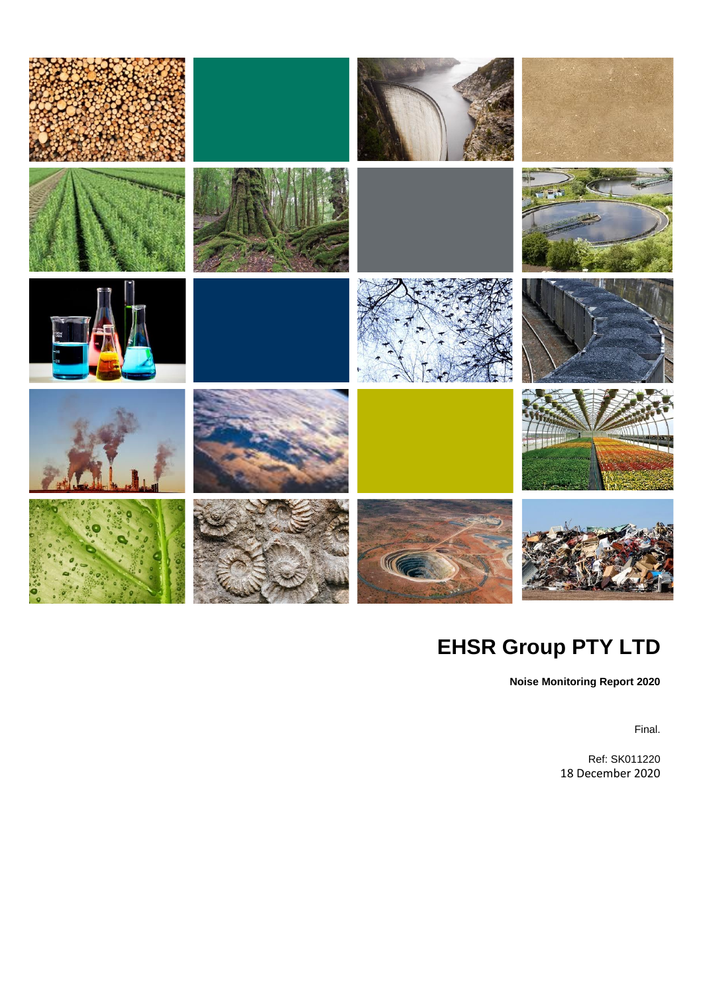

# **EHSR Group PTY LTD**

**Noise Monitoring Report 2020**

Final.

Ref: SK011220 18 December 2020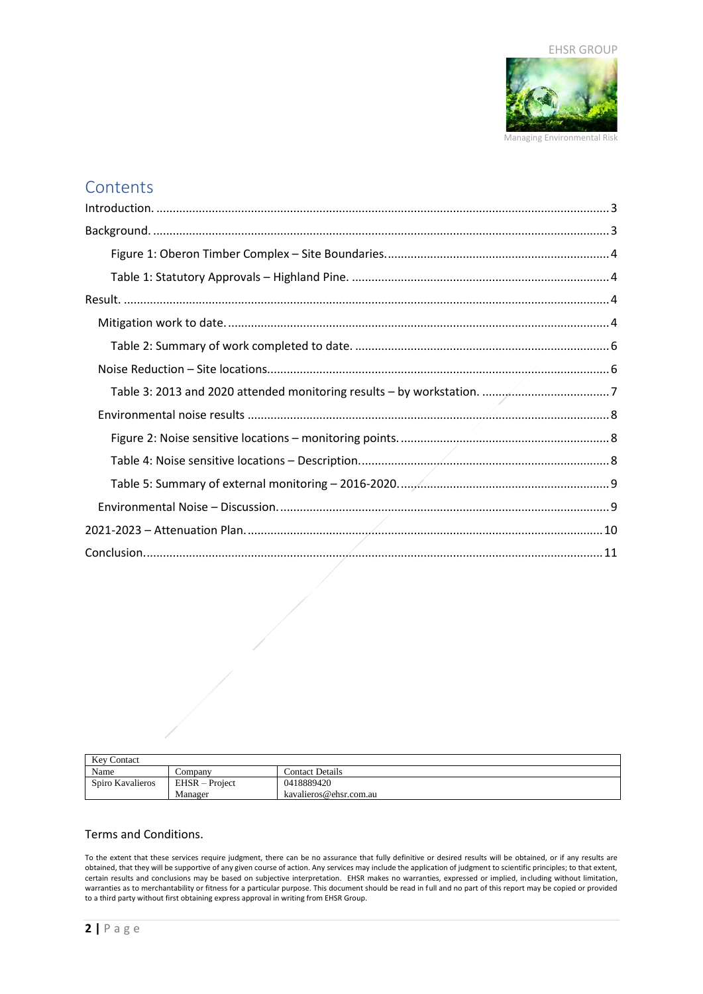

## **Contents**

| <b>Kev Contact</b> |                |                        |
|--------------------|----------------|------------------------|
| Name               | Company        | <b>Contact Details</b> |
| Spiro Kavalieros   | EHSR – Project | 0418889420             |
|                    | Manager        | kavalieros@ehsr.com.au |

#### Terms and Conditions.

To the extent that these services require judgment, there can be no assurance that fully definitive or desired results will be obtained, or if any results are obtained, that they will be supportive of any given course of action. Any services may include the application of judgment to scientific principles; to that extent, certain results and conclusions may be based on subjective interpretation. EHSR makes no warranties, expressed or implied, including without limitation, warranties as to merchantability or fitness for a particular purpose. This document should be read in full and no part of this report may be copied or provided to a third party without first obtaining express approval in writing from EHSR Group.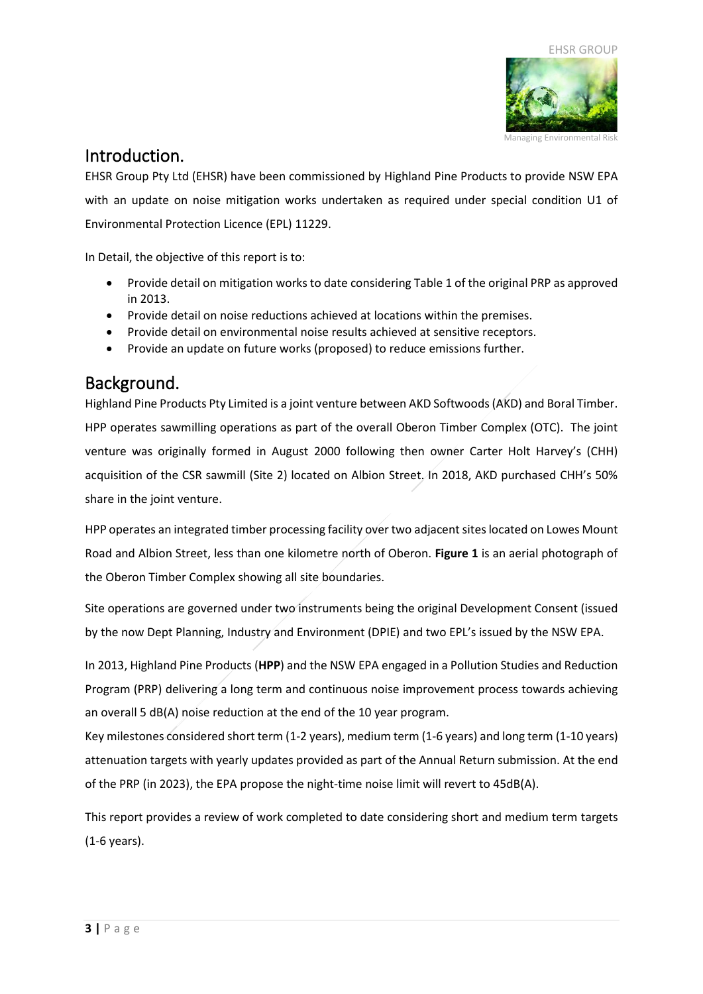

## <span id="page-2-0"></span>Introduction.

EHSR Group Pty Ltd (EHSR) have been commissioned by Highland Pine Products to provide NSW EPA with an update on noise mitigation works undertaken as required under special condition U1 of Environmental Protection Licence (EPL) 11229.

In Detail, the objective of this report is to:

- Provide detail on mitigation works to date considering Table 1 of the original PRP as approved in 2013.
- Provide detail on noise reductions achieved at locations within the premises.
- Provide detail on environmental noise results achieved at sensitive receptors.
- Provide an update on future works (proposed) to reduce emissions further.

## <span id="page-2-1"></span>Background.

Highland Pine Products Pty Limited is a joint venture between AKD Softwoods (AKD) and Boral Timber. HPP operates sawmilling operations as part of the overall Oberon Timber Complex (OTC). The joint venture was originally formed in August 2000 following then owner Carter Holt Harvey's (CHH) acquisition of the CSR sawmill (Site 2) located on Albion Street. In 2018, AKD purchased CHH's 50% share in the joint venture.

HPP operates an integrated timber processing facility over two adjacent sites located on Lowes Mount Road and Albion Street, less than one kilometre north of Oberon. **Figure 1** is an aerial photograph of the Oberon Timber Complex showing all site boundaries.

Site operations are governed under two instruments being the original Development Consent (issued by the now Dept Planning, Industry and Environment (DPIE) and two EPL's issued by the NSW EPA.

In 2013, Highland Pine Products (**HPP**) and the NSW EPA engaged in a Pollution Studies and Reduction Program (PRP) delivering a long term and continuous noise improvement process towards achieving an overall 5 dB(A) noise reduction at the end of the 10 year program.

Key milestones considered short term (1-2 years), medium term (1-6 years) and long term (1-10 years) attenuation targets with yearly updates provided as part of the Annual Return submission. At the end of the PRP (in 2023), the EPA propose the night-time noise limit will revert to 45dB(A).

This report provides a review of work completed to date considering short and medium term targets (1-6 years).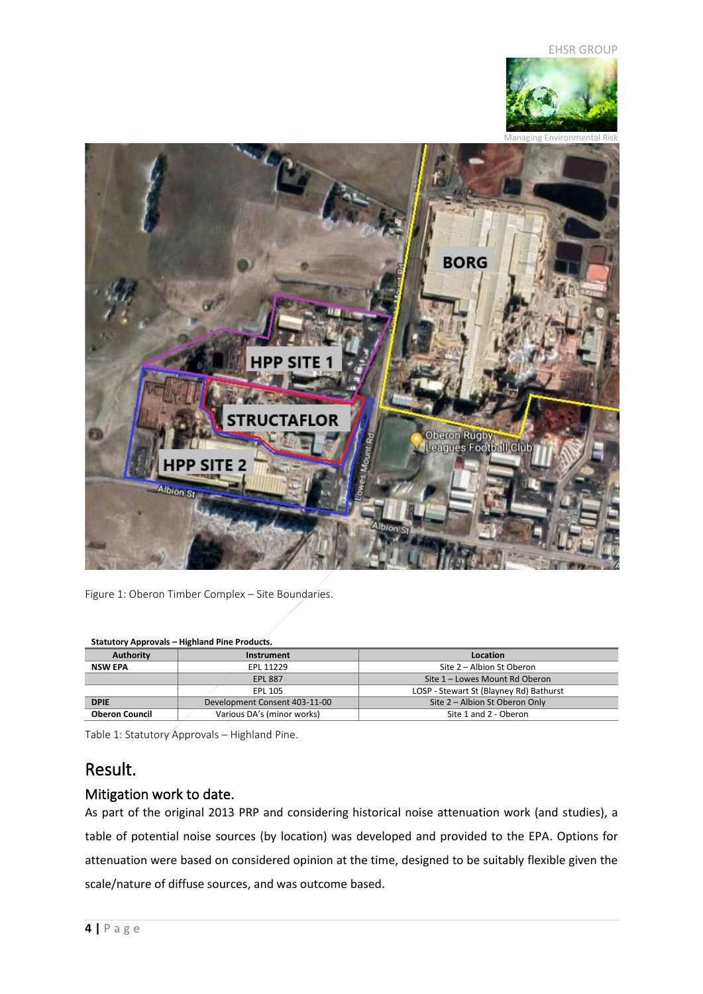



<span id="page-3-0"></span>Figure 1: Oberon Timber Complex – Site Boundaries.

#### **Statutory Approvals – Highland Pine Products.**

| <b>Authority</b>      | Instrument                    | Location                                |  |
|-----------------------|-------------------------------|-----------------------------------------|--|
| NSW EPA               | EPL 11229                     | Site 2 – Albion St Oberon               |  |
|                       | <b>EPL 887</b>                | Site 1 - Lowes Mount Rd Oberon          |  |
|                       | EPL 105                       | LOSP - Stewart St (Blayney Rd) Bathurst |  |
| <b>DPIE</b>           | Development Consent 403-11-00 | Site 2 - Albion St Oberon Only          |  |
| <b>Oberon Council</b> | Various DA's (minor works)    | Site 1 and 2 - Oberon                   |  |

<span id="page-3-1"></span>Table 1: Statutory Approvals – Highland Pine.

## <span id="page-3-2"></span>Result.

### <span id="page-3-3"></span>Mitigation work to date.

As part of the original 2013 PRP and considering historical noise attenuation work (and studies), a table of potential noise sources (by location) was developed and provided to the EPA. Options for attenuation were based on considered opinion at the time, designed to be suitably flexible given the scale/nature of diffuse sources, and was outcome based.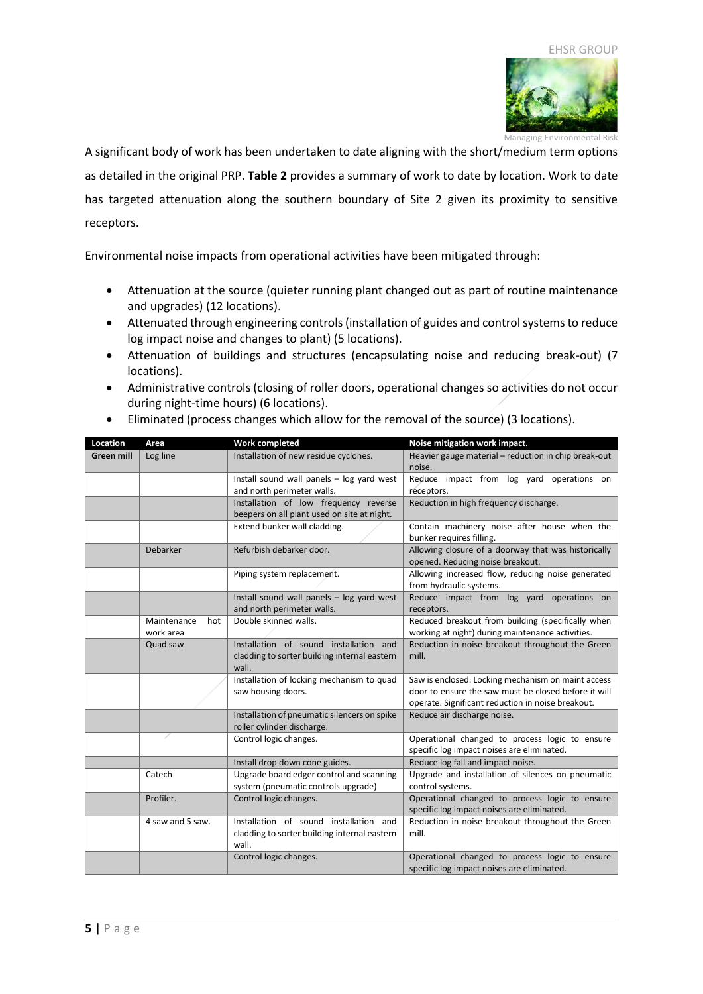

Managing Environmental Risk A significant body of work has been undertaken to date aligning with the short/medium term options as detailed in the original PRP. **Table 2** provides a summary of work to date by location. Work to date has targeted attenuation along the southern boundary of Site 2 given its proximity to sensitive receptors.

Environmental noise impacts from operational activities have been mitigated through:

- Attenuation at the source (quieter running plant changed out as part of routine maintenance and upgrades) (12 locations).
- Attenuated through engineering controls (installation of guides and control systems to reduce log impact noise and changes to plant) (5 locations).
- Attenuation of buildings and structures (encapsulating noise and reducing break-out) (7 locations).
- Administrative controls (closing of roller doors, operational changes so activities do not occur during night-time hours) (6 locations).

| Location   | Area               | Work completed                                                             | Noise mitigation work impact.                                                           |  |
|------------|--------------------|----------------------------------------------------------------------------|-----------------------------------------------------------------------------------------|--|
| Green mill | Log line           | Installation of new residue cyclones.                                      | Heavier gauge material - reduction in chip break-out<br>noise.                          |  |
|            |                    | Install sound wall panels - log yard west                                  | Reduce impact from log yard operations on                                               |  |
|            |                    | and north perimeter walls.                                                 | receptors.                                                                              |  |
|            |                    | Installation of low frequency reverse                                      | Reduction in high frequency discharge.                                                  |  |
|            |                    | beepers on all plant used on site at night.                                |                                                                                         |  |
|            |                    | Extend bunker wall cladding.                                               | Contain machinery noise after house when the                                            |  |
|            |                    |                                                                            | bunker requires filling.                                                                |  |
|            | Debarker           | Refurbish debarker door.                                                   | Allowing closure of a doorway that was historically<br>opened. Reducing noise breakout. |  |
|            |                    | Piping system replacement.                                                 | Allowing increased flow, reducing noise generated                                       |  |
|            |                    |                                                                            | from hydraulic systems.                                                                 |  |
|            |                    | Install sound wall panels - log yard west                                  | Reduce impact from log yard operations on                                               |  |
|            |                    | and north perimeter walls.                                                 | receptors.                                                                              |  |
|            | Maintenance<br>hot | Double skinned walls.                                                      | Reduced breakout from building (specifically when                                       |  |
|            | work area          |                                                                            | working at night) during maintenance activities.                                        |  |
|            | Quad saw           | Installation of sound installation and                                     | Reduction in noise breakout throughout the Green                                        |  |
|            |                    | cladding to sorter building internal eastern<br>wall.                      | mill.                                                                                   |  |
|            |                    | Installation of locking mechanism to quad                                  | Saw is enclosed. Locking mechanism on maint access                                      |  |
|            |                    | saw housing doors.                                                         | door to ensure the saw must be closed before it will                                    |  |
|            |                    |                                                                            | operate. Significant reduction in noise breakout.                                       |  |
|            |                    | Installation of pneumatic silencers on spike<br>roller cylinder discharge. | Reduce air discharge noise.                                                             |  |
|            |                    | Control logic changes.                                                     | Operational changed to process logic to ensure                                          |  |
|            |                    |                                                                            | specific log impact noises are eliminated.                                              |  |
|            |                    | Install drop down cone guides.                                             | Reduce log fall and impact noise.                                                       |  |
|            | Catech             | Upgrade board edger control and scanning                                   | Upgrade and installation of silences on pneumatic                                       |  |
|            |                    | system (pneumatic controls upgrade)                                        | control systems.                                                                        |  |
|            | Profiler.          | Control logic changes.                                                     | Operational changed to process logic to ensure                                          |  |
|            |                    |                                                                            | specific log impact noises are eliminated.                                              |  |
|            | 4 saw and 5 saw.   | Installation of sound installation and                                     | Reduction in noise breakout throughout the Green                                        |  |
|            |                    | cladding to sorter building internal eastern<br>wall.                      | mill.                                                                                   |  |
|            |                    | Control logic changes.                                                     | Operational changed to process logic to ensure                                          |  |
|            |                    |                                                                            | specific log impact noises are eliminated.                                              |  |
|            |                    |                                                                            |                                                                                         |  |

• Eliminated (process changes which allow for the removal of the source) (3 locations).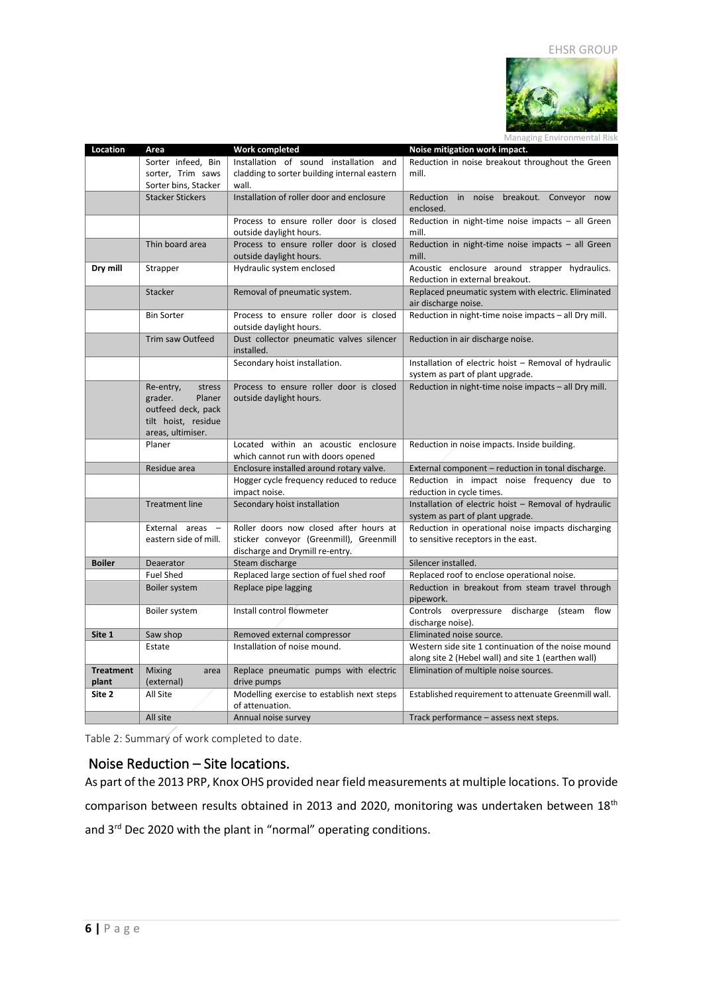

|                  | Managing Environmental Risk         |                                                           |                                                                         |  |  |
|------------------|-------------------------------------|-----------------------------------------------------------|-------------------------------------------------------------------------|--|--|
| Location         | Area                                | <b>Work completed</b>                                     | Noise mitigation work impact.                                           |  |  |
|                  | Sorter infeed, Bin                  | Installation of sound installation and                    | Reduction in noise breakout throughout the Green                        |  |  |
|                  | sorter, Trim saws                   | cladding to sorter building internal eastern              | mill.                                                                   |  |  |
|                  | Sorter bins, Stacker                | wall.                                                     |                                                                         |  |  |
|                  | <b>Stacker Stickers</b>             | Installation of roller door and enclosure                 | Reduction in noise breakout. Conveyor now                               |  |  |
|                  |                                     |                                                           | enclosed.                                                               |  |  |
|                  |                                     | Process to ensure roller door is closed                   | Reduction in night-time noise impacts - all Green                       |  |  |
|                  |                                     | outside daylight hours.                                   | mill.                                                                   |  |  |
|                  | Thin board area                     | Process to ensure roller door is closed                   | Reduction in night-time noise impacts - all Green                       |  |  |
|                  |                                     | outside daylight hours.                                   | mill.                                                                   |  |  |
| Dry mill         | Strapper                            | Hydraulic system enclosed                                 | Acoustic enclosure around strapper hydraulics.                          |  |  |
|                  |                                     |                                                           | Reduction in external breakout.                                         |  |  |
|                  | Stacker                             | Removal of pneumatic system.                              | Replaced pneumatic system with electric. Eliminated                     |  |  |
|                  |                                     |                                                           | air discharge noise.                                                    |  |  |
|                  | <b>Bin Sorter</b>                   | Process to ensure roller door is closed                   | Reduction in night-time noise impacts - all Dry mill.                   |  |  |
|                  |                                     | outside daylight hours.                                   |                                                                         |  |  |
|                  | Trim saw Outfeed                    | Dust collector pneumatic valves silencer<br>installed.    | Reduction in air discharge noise.                                       |  |  |
|                  |                                     | Secondary hoist installation.                             | Installation of electric hoist - Removal of hydraulic                   |  |  |
|                  |                                     |                                                           | system as part of plant upgrade.                                        |  |  |
|                  | stress<br>Re-entry,                 | Process to ensure roller door is closed                   | Reduction in night-time noise impacts - all Dry mill.                   |  |  |
|                  | grader.<br>Planer                   | outside daylight hours.                                   |                                                                         |  |  |
|                  | outfeed deck, pack                  |                                                           |                                                                         |  |  |
|                  | tilt hoist, residue                 |                                                           |                                                                         |  |  |
|                  | areas, ultimiser.                   |                                                           |                                                                         |  |  |
|                  | Planer                              | Located within an acoustic enclosure                      | Reduction in noise impacts. Inside building.                            |  |  |
|                  |                                     | which cannot run with doors opened                        |                                                                         |  |  |
|                  | Residue area                        | Enclosure installed around rotary valve.                  | External component - reduction in tonal discharge.                      |  |  |
|                  |                                     | Hogger cycle frequency reduced to reduce<br>impact noise. | Reduction in impact noise frequency due to<br>reduction in cycle times. |  |  |
|                  | <b>Treatment line</b>               | Secondary hoist installation                              | Installation of electric hoist - Removal of hydraulic                   |  |  |
|                  |                                     |                                                           | system as part of plant upgrade.                                        |  |  |
|                  | External areas -                    | Roller doors now closed after hours at                    | Reduction in operational noise impacts discharging                      |  |  |
|                  | eastern side of mill.               | sticker conveyor (Greenmill), Greenmill                   | to sensitive receptors in the east.                                     |  |  |
|                  |                                     | discharge and Drymill re-entry.                           |                                                                         |  |  |
| <b>Boiler</b>    | Deaerator                           | Steam discharge                                           | Silencer installed.                                                     |  |  |
|                  | <b>Fuel Shed</b>                    | Replaced large section of fuel shed roof                  | Replaced roof to enclose operational noise.                             |  |  |
|                  | Boiler system                       | Replace pipe lagging                                      | Reduction in breakout from steam travel through                         |  |  |
|                  |                                     |                                                           | pipework.                                                               |  |  |
|                  | Boiler system                       | Install control flowmeter                                 | Controls overpressure discharge (steam flow                             |  |  |
|                  |                                     |                                                           | discharge noise).                                                       |  |  |
| Site 1           | Saw shop                            | Removed external compressor                               | Eliminated noise source.                                                |  |  |
|                  | Estate                              | Installation of noise mound.                              | Western side site 1 continuation of the noise mound                     |  |  |
|                  |                                     |                                                           | along site 2 (Hebel wall) and site 1 (earthen wall)                     |  |  |
| <b>Treatment</b> | <b>Mixing</b><br>area<br>(external) | Replace pneumatic pumps with electric                     | Elimination of multiple noise sources.                                  |  |  |
| plant<br>Site 2  | All Site                            | drive pumps<br>Modelling exercise to establish next steps |                                                                         |  |  |
|                  |                                     | of attenuation.                                           | Established requirement to attenuate Greenmill wall.                    |  |  |
|                  | All site                            | Annual noise survey                                       | Track performance - assess next steps.                                  |  |  |
|                  |                                     |                                                           |                                                                         |  |  |

<span id="page-5-0"></span>Table 2: Summary of work completed to date.

#### <span id="page-5-1"></span>Noise Reduction – Site locations.

As part of the 2013 PRP, Knox OHS provided near field measurements at multiple locations. To provide comparison between results obtained in 2013 and 2020, monitoring was undertaken between 18<sup>th</sup> and 3<sup>rd</sup> Dec 2020 with the plant in "normal" operating conditions.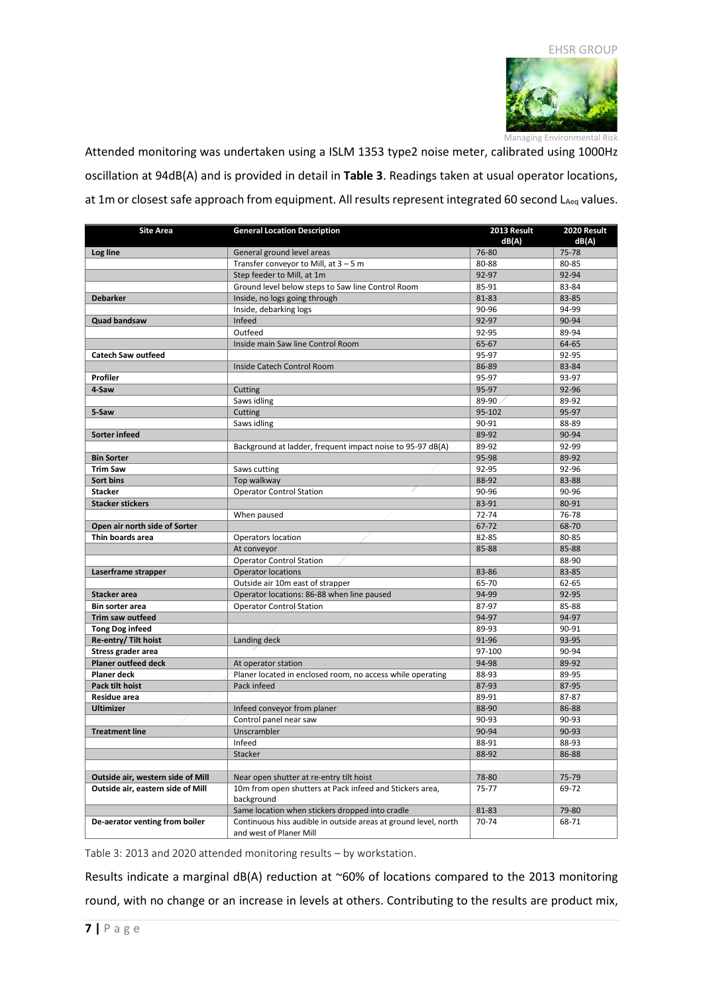

Managing Environmental Risk Attended monitoring was undertaken using a ISLM 1353 type2 noise meter, calibrated using 1000Hz oscillation at 94dB(A) and is provided in detail in **Table 3**. Readings taken at usual operator locations, at 1m or closest safe approach from equipment. All results represent integrated 60 second LAeq values.

| <b>Site Area</b>                  | <b>General Location Description</b>                             | 2013 Result | 2020 Result |
|-----------------------------------|-----------------------------------------------------------------|-------------|-------------|
|                                   |                                                                 | dB(A)       | dB(A)       |
| Log line                          | General ground level areas                                      | 76-80       | 75-78       |
|                                   | Transfer conveyor to Mill, at $3 - 5$ m                         | 80-88       | 80-85       |
|                                   | Step feeder to Mill, at 1m                                      | 92-97       | 92-94       |
|                                   | Ground level below steps to Saw line Control Room               | 85-91       | 83-84       |
| <b>Debarker</b>                   | Inside, no logs going through                                   | 81-83       | 83-85       |
|                                   | Inside, debarking logs                                          | 90-96       | 94-99       |
| <b>Quad bandsaw</b>               | Infeed                                                          | 92-97       | 90-94       |
|                                   | Outfeed                                                         | 92-95       | 89-94       |
|                                   | Inside main Saw line Control Room                               | 65-67       | 64-65       |
| <b>Catech Saw outfeed</b>         |                                                                 | 95-97       | 92-95       |
|                                   | Inside Catech Control Room                                      | 86-89       | 83-84       |
| Profiler                          |                                                                 | 95-97       | 93-97       |
| 4-Saw                             | Cutting                                                         | 95-97       | 92-96       |
|                                   | Saws idling                                                     | 89-90       | 89-92       |
| 5-Saw                             | Cutting                                                         | 95-102      | 95-97       |
|                                   | Saws idling                                                     | 90-91       | 88-89       |
| Sorter infeed                     |                                                                 | 89-92       | 90-94       |
|                                   | Background at ladder, frequent impact noise to 95-97 dB(A)      | 89-92       | 92-99       |
| <b>Bin Sorter</b>                 |                                                                 | 95-98       | 89-92       |
| <b>Trim Saw</b>                   | Saws cutting                                                    | 92-95       | 92-96       |
| Sort bins                         | Top walkway                                                     | 88-92       | 83-88       |
| <b>Stacker</b>                    | <b>Operator Control Station</b>                                 | 90-96       | 90-96       |
| <b>Stacker stickers</b>           |                                                                 | 83-91       | 80-91       |
|                                   | When paused                                                     | 72-74       | 76-78       |
| Open air north side of Sorter     |                                                                 | 67-72       | 68-70       |
| Thin boards area                  | Operators location                                              | 82-85       | 80-85       |
|                                   | At conveyor                                                     | 85-88       | 85-88       |
|                                   | <b>Operator Control Station</b>                                 |             | 88-90       |
| Laserframe strapper               | <b>Operator locations</b>                                       | 83-86       | 83-85       |
|                                   | Outside air 10m east of strapper                                | 65-70       | 62-65       |
| <b>Stacker area</b>               | Operator locations: 86-88 when line paused                      | 94-99       | 92-95       |
| Bin sorter area                   | Operator Control Station                                        | 87-97       | 85-88       |
| Trim saw outfeed                  |                                                                 | 94-97       | 94-97       |
| <b>Tong Dog infeed</b>            |                                                                 | 89-93       | 90-91       |
| Re-entry/ Tilt hoist              | Landing deck                                                    | 91-96       | 93-95       |
| Stress grader area                |                                                                 | 97-100      | 90-94       |
| <b>Planer outfeed deck</b>        | At operator station                                             | 94-98       | 89-92       |
| <b>Planer deck</b>                | Planer located in enclosed room, no access while operating      | 88-93       | 89-95       |
| Pack tilt hoist                   | Pack infeed                                                     | 87-93       | 87-95       |
| <b>Residue area</b>               |                                                                 | 89-91       | 87-87       |
| <b>Ultimizer</b>                  | Infeed conveyor from planer                                     | 88-90       | 86-88       |
|                                   | Control panel near saw                                          | 90-93       | 90-93       |
| <b>Treatment line</b>             | Unscrambler                                                     | 90-94       | 90-93       |
|                                   | Infeed                                                          | 88-91       | 88-93       |
|                                   | Stacker                                                         | 88-92       | 86-88       |
| Outside air, western side of Mill | Near open shutter at re-entry tilt hoist                        | 78-80       | 75-79       |
| Outside air, eastern side of Mill | 10m from open shutters at Pack infeed and Stickers area,        | 75-77       | 69-72       |
|                                   | background                                                      |             |             |
|                                   | Same location when stickers dropped into cradle                 | 81-83       | 79-80       |
| De-aerator venting from boiler    | Continuous hiss audible in outside areas at ground level, north | 70-74       | 68-71       |
|                                   | and west of Planer Mill                                         |             |             |

<span id="page-6-0"></span>Table 3: 2013 and 2020 attended monitoring results – by workstation.

Results indicate a marginal dB(A) reduction at ~60% of locations compared to the 2013 monitoring round, with no change or an increase in levels at others. Contributing to the results are product mix,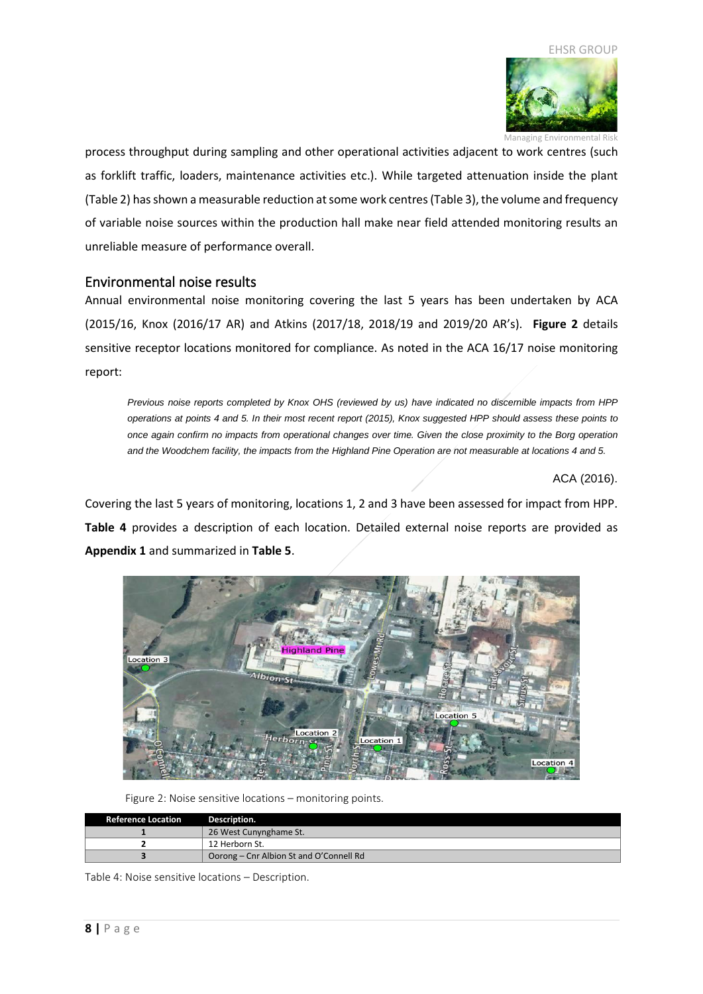

Managing Environmental Risk

process throughput during sampling and other operational activities adjacent to work centres (such as forklift traffic, loaders, maintenance activities etc.). While targeted attenuation inside the plant (Table 2) has shown a measurable reduction at some work centres (Table 3), the volume and frequency of variable noise sources within the production hall make near field attended monitoring results an unreliable measure of performance overall.

#### <span id="page-7-0"></span>Environmental noise results

Annual environmental noise monitoring covering the last 5 years has been undertaken by ACA (2015/16, Knox (2016/17 AR) and Atkins (2017/18, 2018/19 and 2019/20 AR's). **Figure 2** details sensitive receptor locations monitored for compliance. As noted in the ACA 16/17 noise monitoring report:

*Previous noise reports completed by Knox OHS (reviewed by us) have indicated no discernible impacts from HPP operations at points 4 and 5. In their most recent report (2015), Knox suggested HPP should assess these points to once again confirm no impacts from operational changes over time. Given the close proximity to the Borg operation and the Woodchem facility, the impacts from the Highland Pine Operation are not measurable at locations 4 and 5.*

ACA (2016).

Covering the last 5 years of monitoring, locations 1, 2 and 3 have been assessed for impact from HPP. **Table 4** provides a description of each location. Detailed external noise reports are provided as **Appendix 1** and summarized in **Table 5**.



Figure 2: Noise sensitive locations – monitoring points.

<span id="page-7-1"></span>

| <b>Reference Location</b> | Description.                            |
|---------------------------|-----------------------------------------|
|                           | 26 West Cunynghame St.                  |
|                           | 12 Herborn St.                          |
|                           | Oorong – Cnr Albion St and O'Connell Rd |

<span id="page-7-2"></span>Table 4: Noise sensitive locations – Description.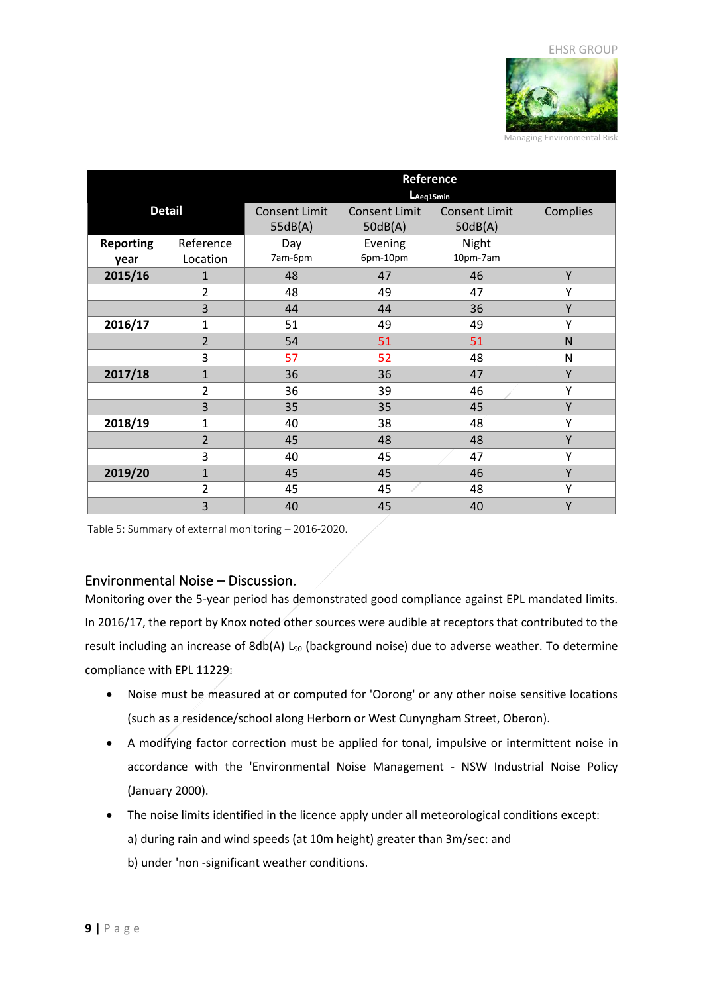

|                          |                       | Reference<br>LAeq15min          |                                 |                                 |          |
|--------------------------|-----------------------|---------------------------------|---------------------------------|---------------------------------|----------|
| <b>Detail</b>            |                       | <b>Consent Limit</b><br>55dB(A) | <b>Consent Limit</b><br>50dB(A) | <b>Consent Limit</b><br>50dB(A) | Complies |
| <b>Reporting</b><br>year | Reference<br>Location | Day<br>7am-6pm                  | Evening<br>6pm-10pm             | Night<br>10pm-7am               |          |
| 2015/16                  | $\mathbf{1}$          | 48                              | 47                              | 46                              | Y        |
|                          | $\overline{2}$        | 48                              | 49                              | 47                              | Υ        |
|                          | 3                     | 44                              | 44                              | 36                              | Y        |
| 2016/17                  | $\mathbf{1}$          | 51                              | 49                              | 49                              | Υ        |
|                          | $\overline{2}$        | 54                              | 51                              | 51                              | N        |
|                          | 3                     | 57                              | 52                              | 48                              | N        |
| 2017/18                  | $\mathbf{1}$          | 36                              | 36                              | 47                              | Y        |
|                          | $\overline{2}$        | 36                              | 39                              | 46                              | Υ        |
|                          | 3                     | 35                              | 35                              | 45                              | Y        |
| 2018/19                  | 1                     | 40                              | 38                              | 48                              | Υ        |
|                          | $\overline{2}$        | 45                              | 48                              | 48                              | Y        |
|                          | 3                     | 40                              | 45                              | 47                              | Υ        |
| 2019/20                  | $\mathbf{1}$          | 45                              | 45                              | 46                              | Y        |
|                          | $\overline{2}$        | 45                              | 45                              | 48                              | Υ        |
|                          | 3                     | 40                              | 45                              | 40                              | Y        |

<span id="page-8-0"></span>Table 5: Summary of external monitoring – 2016-2020.

#### <span id="page-8-1"></span>Environmental Noise – Discussion.

Monitoring over the 5-year period has demonstrated good compliance against EPL mandated limits. In 2016/17, the report by Knox noted other sources were audible at receptors that contributed to the result including an increase of 8db(A) L<sub>90</sub> (background noise) due to adverse weather. To determine compliance with EPL 11229:

- Noise must be measured at or computed for 'Oorong' or any other noise sensitive locations (such as a residence/school along Herborn or West Cunyngham Street, Oberon).
- A modifying factor correction must be applied for tonal, impulsive or intermittent noise in accordance with the 'Environmental Noise Management - NSW Industrial Noise Policy (January 2000).
- The noise limits identified in the licence apply under all meteorological conditions except:
	- a) during rain and wind speeds (at 10m height) greater than 3m/sec: and
	- b) under 'non -significant weather conditions.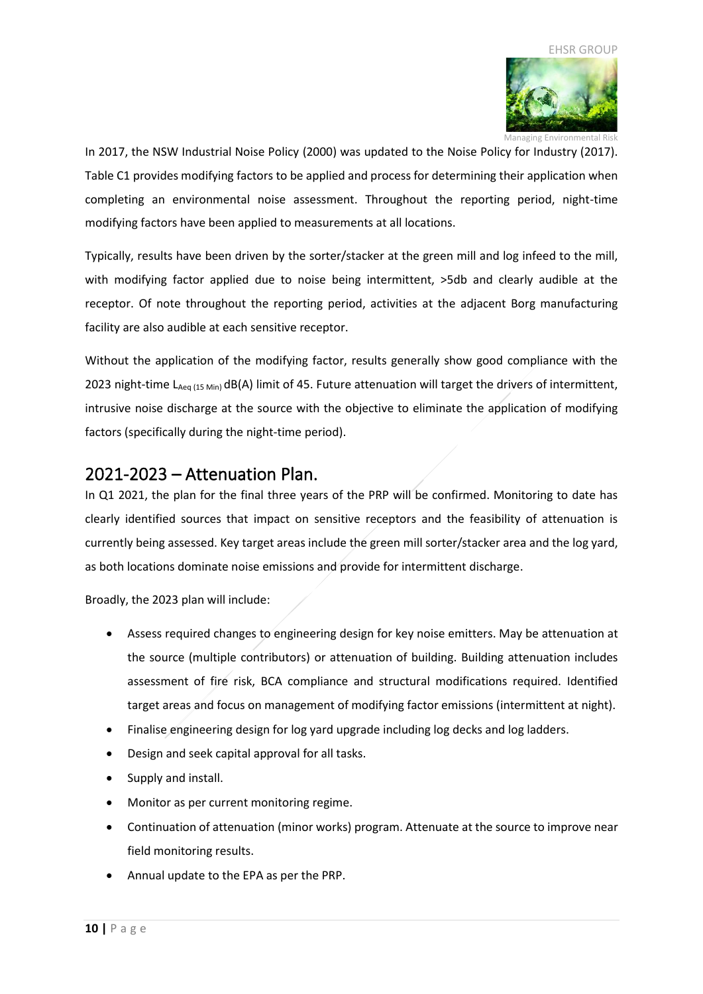

Managing Environmental Risk In 2017, the NSW Industrial Noise Policy (2000) was updated to the Noise Policy for Industry (2017). Table C1 provides modifying factors to be applied and process for determining their application when completing an environmental noise assessment. Throughout the reporting period, night-time modifying factors have been applied to measurements at all locations.

Typically, results have been driven by the sorter/stacker at the green mill and log infeed to the mill, with modifying factor applied due to noise being intermittent,  $>5$ db and clearly audible at the receptor. Of note throughout the reporting period, activities at the adjacent Borg manufacturing facility are also audible at each sensitive receptor.

Without the application of the modifying factor, results generally show good compliance with the 2023 night-time  $L_{Aeq (15 Min)}$  dB(A) limit of 45. Future attenuation will target the drivers of intermittent, intrusive noise discharge at the source with the objective to eliminate the application of modifying factors (specifically during the night-time period).

## <span id="page-9-0"></span>2021-2023 – Attenuation Plan.

In Q1 2021, the plan for the final three years of the PRP will be confirmed. Monitoring to date has clearly identified sources that impact on sensitive receptors and the feasibility of attenuation is currently being assessed. Key target areas include the green mill sorter/stacker area and the log yard, as both locations dominate noise emissions and provide for intermittent discharge.

Broadly, the 2023 plan will include:

- Assess required changes to engineering design for key noise emitters. May be attenuation at the source (multiple contributors) or attenuation of building. Building attenuation includes assessment of fire risk, BCA compliance and structural modifications required. Identified target areas and focus on management of modifying factor emissions (intermittent at night).
- Finalise engineering design for log yard upgrade including log decks and log ladders.
- Design and seek capital approval for all tasks.
- Supply and install.
- Monitor as per current monitoring regime.
- Continuation of attenuation (minor works) program. Attenuate at the source to improve near field monitoring results.
- Annual update to the EPA as per the PRP.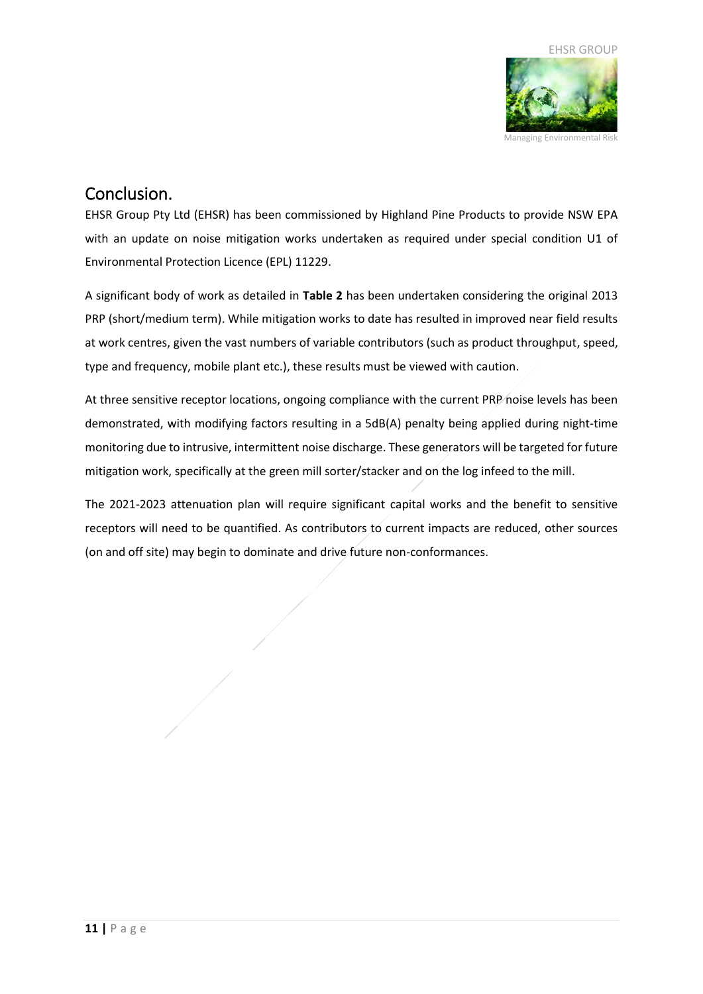

## <span id="page-10-0"></span>Conclusion.

EHSR Group Pty Ltd (EHSR) has been commissioned by Highland Pine Products to provide NSW EPA with an update on noise mitigation works undertaken as required under special condition U1 of Environmental Protection Licence (EPL) 11229.

A significant body of work as detailed in **Table 2** has been undertaken considering the original 2013 PRP (short/medium term). While mitigation works to date has resulted in improved near field results at work centres, given the vast numbers of variable contributors (such as product throughput, speed, type and frequency, mobile plant etc.), these results must be viewed with caution.

At three sensitive receptor locations, ongoing compliance with the current PRP noise levels has been demonstrated, with modifying factors resulting in a 5dB(A) penalty being applied during night-time monitoring due to intrusive, intermittent noise discharge. These generators will be targeted for future mitigation work, specifically at the green mill sorter/stacker and on the log infeed to the mill.

The 2021-2023 attenuation plan will require significant capital works and the benefit to sensitive receptors will need to be quantified. As contributors to current impacts are reduced, other sources (on and off site) may begin to dominate and drive future non-conformances.